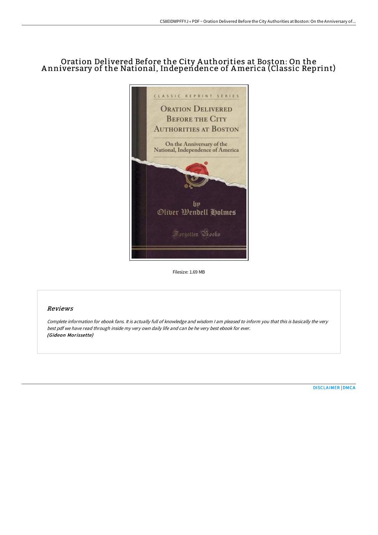# Oration Delivered Before the City A uthorities at Boston: On the A nniversary of the National, Independence of America (Classic Reprint)



Filesize: 1.69 MB

## Reviews

Complete information for ebook fans. It is actually full of knowledge and wisdom <sup>I</sup> am pleased to inform you that this is basically the very best pdf we have read through inside my very own daily life and can be he very best ebook for ever. (Gideon Morissette)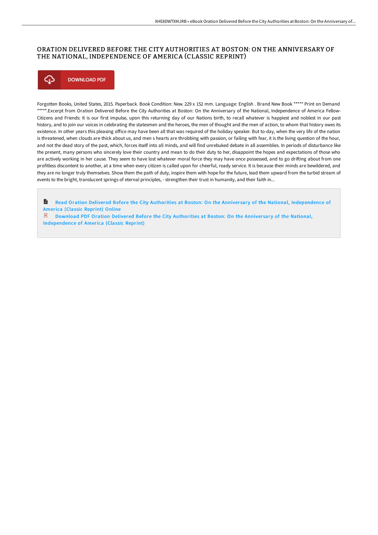## ORATION DELIVERED BEFORE THE CITY AUTHORITIES AT BOSTON: ON THE ANNIVERSARY OF THE NATIONAL, INDEPENDENCE OF AMERICA (CLASSIC REPRINT)



Forgotten Books, United States, 2015. Paperback. Book Condition: New. 229 x 152 mm. Language: English . Brand New Book \*\*\*\*\* Print on Demand \*\*\*\*\*.Excerpt from Oration Delivered Before the City Authorities at Boston: On the Anniversary of the National, Independence of America Fellow-Citizens and Friends: It is our first impulse, upon this returning day of our Nations birth, to recall whatever is happiest and noblest in our past history, and to join our voices in celebrating the statesmen and the heroes, the men of thought and the men of action, to whom that history owes its existence. In other years this pleasing office may have been all that was required of the holiday speaker. But to-day, when the very life of the nation is threatened, when clouds are thick about us, and men s hearts are throbbing with passion, or failing with fear, it is the living question of the hour, and not the dead story of the past, which, forces itself into all minds, and will find unrebuked debate in all assemblies. In periods of disturbance like the present, many persons who sincerely love their country and mean to do their duty to her, disappoint the hopes and expectations of those who are actively working in her cause. They seem to have lost whatever moral force they may have once possessed, and to go drifting about from one profitless discontent to another, at a time when every citizen is called upon for cheerful, ready service. It is because their minds are bewildered, and they are no longer truly themselves. Show them the path of duty, inspire them with hope for the future, lead them upward from the turbid stream of events to the bright, translucent springs of eternal principles, - strengthen their trust in humanity, and their faith in...

R Read Oration Delivered Before the City Authorities at Boston: On the Anniversary of the National, [Independence](http://www.bookdirs.com/oration-delivered-before-the-city-authorities-at.html) of America (Classic Reprint) Online

 $\mathbb E$  Download PDF Oration Delivered Before the City Authorities at Boston: On the Anniversary of the National, [Independence](http://www.bookdirs.com/oration-delivered-before-the-city-authorities-at.html) of America (Classic Reprint)